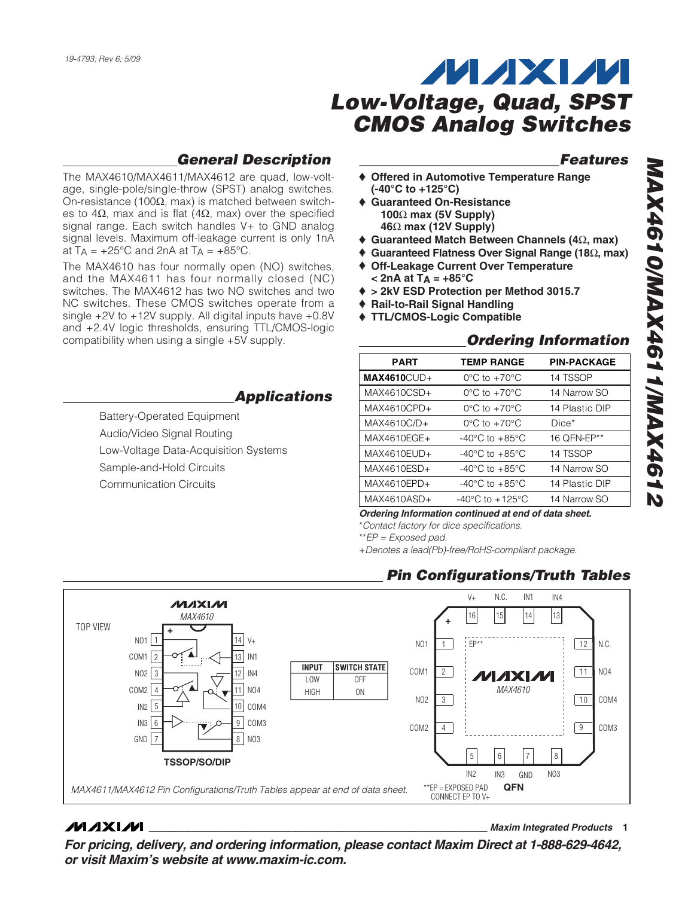### **General Description**

The MAX4610/MAX4611/MAX4612 are quad, low-voltage, single-pole/single-throw (SPST) analog switches. On-resistance (100 $Ω$ , max) is matched between switches to 4Ω, max and is flat (4Ω, max) over the specified signal range. Each switch handles V+ to GND analog signal levels. Maximum off-leakage current is only 1nA at  $T_A = +25^{\circ}C$  and  $2nA$  at  $T_A = +85^{\circ}C$ .

The MAX4610 has four normally open (NO) switches, and the MAX4611 has four normally closed (NC) switches. The MAX4612 has two NO switches and two NC switches. These CMOS switches operate from a single +2V to +12V supply. All digital inputs have +0.8V and +2.4V logic thresholds, ensuring TTL/CMOS-logic compatibility when using a single +5V supply.

### **\_\_\_\_\_\_\_\_\_\_\_\_\_\_\_\_\_\_\_\_\_\_\_\_Applications**

Battery-Operated Equipment Audio/Video Signal Routing Low-Voltage Data-Acquisition Systems Sample-and-Hold Circuits Communication Circuits

#### **\_\_\_\_\_\_\_\_\_\_\_\_\_\_\_\_\_\_\_\_\_\_\_\_\_\_\_\_Features**

- **Offered in Automotive Temperature Range (-40°C to +125°C)**
- ♦ **Guaranteed On-Resistance 100** Ω **max (5V Supply) 46** Ω **max (12V Supply)**
- ♦ **Guaranteed Match Between Channels (4** Ω**, max)**
- ♦ **Guaranteed Flatness Over Signal Range (18** Ω**, max)**
- ♦ **Off-Leakage Current Over Temperature < 2nA at T A = +85°C**
- ♦ **> 2kV ESD Protection per Method 3015.7**
- ♦ **Rail-to-Rail Signal Handling**
- ♦ **TTL/CMOS-Logic Compatible**

#### **Ordering Information**

| <b>PART</b>    | <b>TEMP RANGE</b>                    | <b>PIN-PACKAGE</b> |
|----------------|--------------------------------------|--------------------|
| $MAX4610$ CUD+ | $0^{\circ}$ C to $+70^{\circ}$ C     | 14 TSSOP           |
| MAX4610CSD+    | $0^{\circ}$ C to $+70^{\circ}$ C     | 14 Narrow SO       |
| $MAX4610CPD+$  | $0^{\circ}$ C to $+70^{\circ}$ C     | 14 Plastic DIP     |
| MAX4610C/D+    | $0^{\circ}$ C to $+70^{\circ}$ C     | $Dice*$            |
| MAX4610EGE+    | $-40^{\circ}$ C to $+85^{\circ}$ C   | 16 OFN-EP**        |
| $MAX4610EUD+$  | -40 $^{\circ}$ C to +85 $^{\circ}$ C | 14 TSSOP           |
| MAX4610ESD+    | $-40^{\circ}$ C to $+85^{\circ}$ C   | 14 Narrow SO       |
| MAX4610EPD+    | -40 $^{\circ}$ C to +85 $^{\circ}$ C | 14 Plastic DIP     |
| MAX4610ASD+    | $-40^{\circ}$ C to $+125^{\circ}$ C  | 14 Narrow SO       |
|                |                                      |                    |

**Ordering Information continued at end of data sheet.**

\*Contact factory for dice specifications.

\*\*EP = Exposed pad.

+Denotes a lead(Pb)-free/RoHS-compliant package.

#### **Pin Configurations/Truth Tables**



#### **MAXM**

**\_\_\_\_\_\_\_\_\_\_\_\_\_\_\_\_\_\_\_\_\_\_\_\_\_\_\_\_\_\_\_\_\_\_\_\_\_\_\_\_\_\_\_\_\_\_\_\_\_\_\_\_\_\_\_\_\_\_\_\_\_\_\_\_ Maxim Integrated Products 1**

**For pricing, delivery, and ordering information, please contact Maxim Direct at 1-888-629-4642, or visit Maxim's website at www.maxim-ic.com.**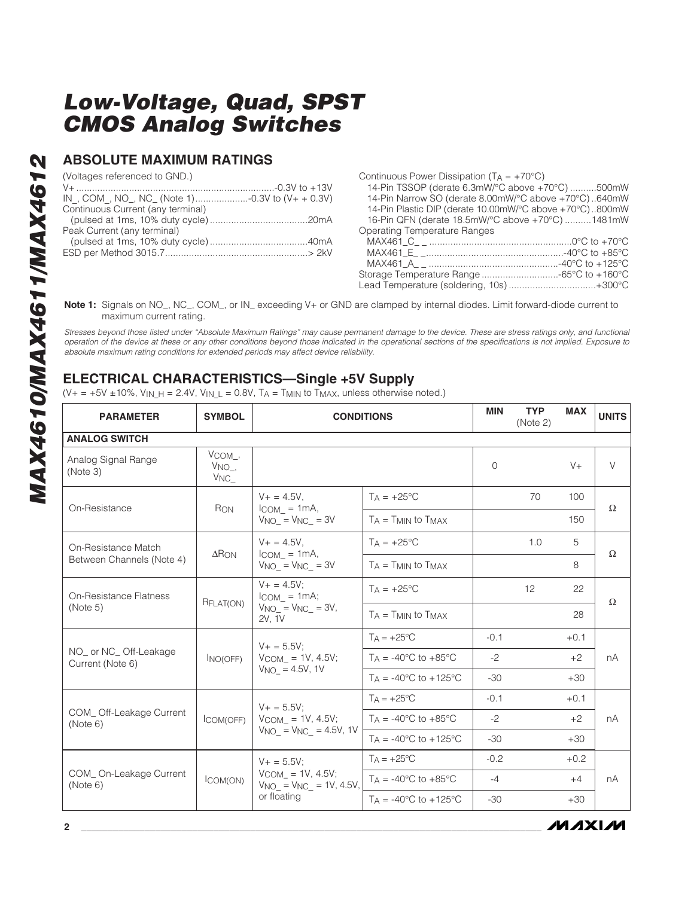#### **ABSOLUTE MAXIMUM RATINGS**

(Voltages referenced to GND.)

| Continuous Current (any terminal) |  |
|-----------------------------------|--|
|                                   |  |
| Peak Current (any terminal)       |  |
|                                   |  |
|                                   |  |
|                                   |  |

Continuous Power Dissipation ( $TA = +70^{\circ}C$ ) 14-Pin TSSOP (derate 6.3mW/°C above +70°C) ..........500mW 14-Pin Narrow SO (derate 8.00mW/°C above +70°C) ..640mW 14-Pin Plastic DIP (derate 10.00mW/°C above +70°C)..800mW 16-Pin QFN (derate 18.5mW/°C above +70°C) ..........1481mW Operating Temperature Ranges MAX461\_C\_ \_ ......................................................0°C to +70°C

MAX461\_E\_ \_....................................................-40°C to +85°C MAX461\_A\_ \_ .................................................-40°C to +125°C Storage Temperature Range .............................-65°C to +160°C Lead Temperature (soldering, 10s) .................................+300°C

**Note 1:** Signals on NO\_, NC\_, COM\_, or IN\_ exceeding V+ or GND are clamped by internal diodes. Limit forward-diode current to maximum current rating.

Stresses beyond those listed under "Absolute Maximum Ratings" may cause permanent damage to the device. These are stress ratings only, and functional operation of the device at these or any other conditions beyond those indicated in the operational sections of the specifications is not implied. Exposure to absolute maximum rating conditions for extended periods may affect device reliability.

### **ELECTRICAL CHARACTERISTICS—Single +5V Supply**

(V+ = +5V ±10%, V<sub>IN\_H</sub> = 2.4V, V<sub>IN\_L</sub> = 0.8V, T<sub>A</sub> = T<sub>MIN</sub> to T<sub>MAX</sub>, unless otherwise noted.)

| <b>PARAMETER</b>                           | <b>SYMBOL</b>                      | <b>CONDITIONS</b>                                                       | <b>MIN</b>                              | <b>TYP</b><br>(Note 2) | <b>MAX</b> | <b>UNITS</b> |          |
|--------------------------------------------|------------------------------------|-------------------------------------------------------------------------|-----------------------------------------|------------------------|------------|--------------|----------|
| <b>ANALOG SWITCH</b>                       |                                    |                                                                         |                                         |                        |            |              |          |
| Analog Signal Range<br>(Note 3)            | VCOM_,<br>$V_{NO_-,}$<br>$VNC_{-}$ |                                                                         |                                         | 0                      |            | $V +$        | $\vee$   |
| On-Resistance                              | RON                                | $V_+ = 4.5V$ .<br>$l_{COM}$ = 1mA,                                      | $TA = +25\degree C$                     |                        | 70         | 100          | $\Omega$ |
|                                            |                                    | $V_{NO} = V_{NC} = 3V$                                                  | $T_A = T_{MIN}$ to $T_{MAX}$            |                        |            | 150          |          |
| On-Resistance Match                        | $\Delta$ RON                       | $V_+ = 4.5V$ .                                                          | $T_A = +25$ °C                          |                        | 1.0        | 5            | $\Omega$ |
| Between Channels (Note 4)                  |                                    | $ICOM_ = 1mA,$<br>$V_{NO} = V_{NC} = 3V$                                | $T_A = T_{MIN}$ to $T_{MAX}$            |                        |            | 8            |          |
| On-Resistance Flatness<br>(Note 5)         | RFLAT(ON)                          | $V_+ = 4.5V$ :<br>$ICOM = 1mA;$<br>$V_{NO_} = V_{NC_} = 3V$ ,<br>2V, 1V | $Ta = +25^{\circ}C$                     |                        | 12         | 22           | $\Omega$ |
|                                            |                                    |                                                                         | $T_A = T_{MIN}$ to $T_{MAX}$            |                        |            | 28           |          |
|                                            | INO(OFF)                           | $V_+ = 5.5V$ :<br>$VCOM = 1V, 4.5V;$<br>$V_{NO}$ = 4.5V, 1V             | $T_A = +25^{\circ}C$                    | $-0.1$                 |            | $+0.1$       | nA       |
| NO_ or NC_ Off-Leakage<br>Current (Note 6) |                                    |                                                                         | TA = $-40^{\circ}$ C to $+85^{\circ}$ C | $-2$                   |            | $+2$         |          |
|                                            |                                    |                                                                         | $Ta = -40^{\circ}C$ to $+125^{\circ}C$  | $-30$                  |            | $+30$        |          |
|                                            |                                    | $V_+ = 5.5V$ :                                                          | $T_A = +25^{\circ}C$                    | $-0.1$                 |            | $+0.1$       | nA       |
| COM_Off-Leakage Current<br>(Note 6)        | ICOM(OFF)                          | $VCOM = 1V, 4.5V;$<br>$VNO = VNC = 4.5V, 1V$                            | $TA = -40^{\circ}C$ to $+85^{\circ}C$   | $-2$                   |            | $+2$         |          |
|                                            |                                    |                                                                         | $T_A = -40^{\circ}C$ to $+125^{\circ}C$ | $-30$                  |            | $+30$        |          |
| COM_On-Leakage Current<br>(Note 6)         |                                    | $V + = 5.5V$ ;                                                          | $T_A = +25^{\circ}C$                    | $-0.2$                 |            | $+0.2$       | nA       |
|                                            | ICOM(ON)                           | $V_{COM} = 1V, 4.5V;$<br>$V_{NO} = V_{NC} = 1V, 4.5V,$<br>or floating   | $TA = -40\degree C$ to $+85\degree C$   | $-4$                   |            | $+4$         |          |
|                                            |                                    |                                                                         | $Ta = -40^{\circ}C$ to $+125^{\circ}C$  | $-30$                  |            | $+30$        |          |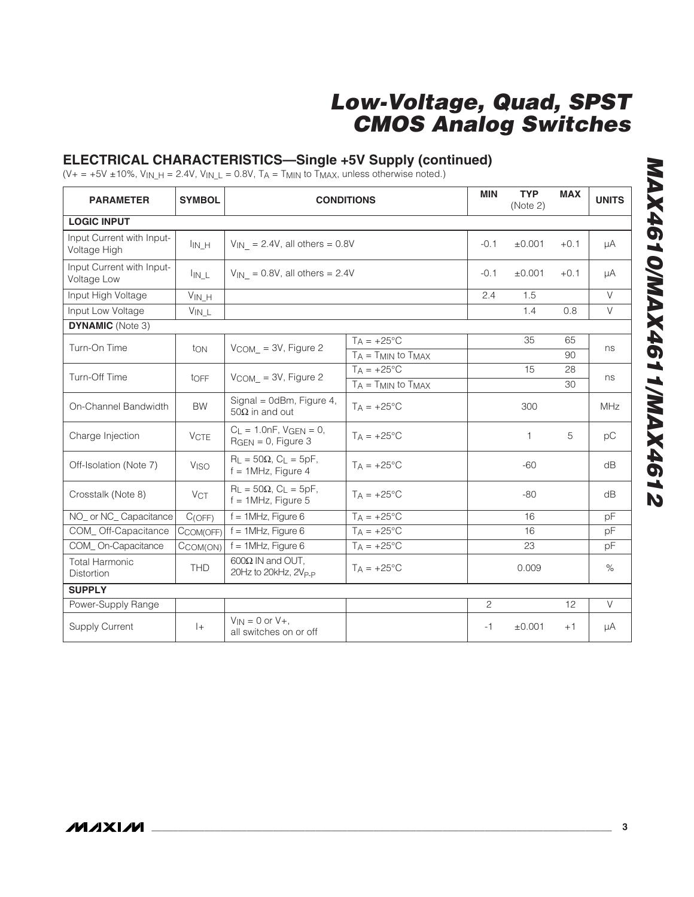#### **ELECTRICAL CHARACTERISTICS—Single +5V Supply (continued)**

(V+ = +5V ±10%, V<sub>IN\_H</sub> = 2.4V, V<sub>IN\_L</sub> = 0.8V, T<sub>A</sub> = T<sub>MIN</sub> to T<sub>MAX</sub>, unless otherwise noted.)

| <b>PARAMETER</b>                          | <b>SYMBOL</b>          | <b>CONDITIONS</b>                                                     | <b>MIN</b>                   | <b>TYP</b><br>(Note 2) | <b>MAX</b>   | <b>UNITS</b> |        |  |
|-------------------------------------------|------------------------|-----------------------------------------------------------------------|------------------------------|------------------------|--------------|--------------|--------|--|
| <b>LOGIC INPUT</b>                        |                        |                                                                       |                              |                        |              |              |        |  |
| Input Current with Input-<br>Voltage High | $I_{IN_H}$             | $V_{\text{IN}}$ = 2.4V, all others = 0.8V                             |                              | $-0.1$                 | ±0.001       | $+0.1$       | μA     |  |
| Input Current with Input-<br>Voltage Low  | $I_{IN\_L}$            | $V_{\text{IN}}$ = 0.8V, all others = 2.4V                             |                              | $-0.1$                 | $\pm 0.001$  | $+0.1$       | μA     |  |
| Input High Voltage                        | $V_{IN\_H}$            |                                                                       |                              | 2.4                    | 1.5          |              | $\vee$ |  |
| Input Low Voltage                         | $V_{IN\_L}$            |                                                                       |                              |                        | 1.4          | 0.8          | $\vee$ |  |
| <b>DYNAMIC</b> (Note 3)                   |                        |                                                                       |                              |                        |              |              |        |  |
| Turn-On Time                              | ton                    | $V$ COM_ = 3V, Figure 2                                               | $TA = +25^{\circ}C$          |                        | 35           | 65           | ns     |  |
|                                           |                        |                                                                       | $T_A = T_{MIN}$ to $T_{MAX}$ |                        |              | 90           |        |  |
| Turn-Off Time                             | toFF                   | $V_{COM}$ = 3V, Figure 2                                              | $T_A = +25^{\circ}C$         |                        | 15           | 28           | ns     |  |
|                                           |                        |                                                                       | $T_A = T_{MIN}$ to $T_{MAX}$ |                        |              | 30           |        |  |
| On-Channel Bandwidth                      | <b>BW</b>              | Signal = $0dBm$ , Figure 4,<br>50 $\Omega$ in and out                 | $TA = +25^{\circ}C$          |                        | 300          |              | MHz    |  |
| Charge Injection                          | <b>VCTE</b>            | $C_L = 1.0nF$ , $VGEN = 0$ ,<br>$RGEN = 0$ , Figure 3                 | $Ta = +25^{\circ}C$          |                        | $\mathbf{1}$ | 5            | рC     |  |
| Off-Isolation (Note 7)                    | <b>V<sub>ISO</sub></b> | $R_L = 50\Omega$ , $C_L = 5pF$ ,<br>$f = 1$ MHz, Figure 4             | $T_A = +25$ °C               |                        | $-60$        |              | dB     |  |
| Crosstalk (Note 8)                        | <b>VCT</b>             | $R_{\perp} = 50\Omega$ , $C_{\perp} = 5pF$ ,<br>$f = 1$ MHz, Figure 5 | $T_A = +25^{\circ}C$         |                        | $-80$        |              | dB     |  |
| NO_ or NC_ Capacitance                    | C(OFF)                 | $f = 1$ MHz, Figure 6                                                 | $T_A = +25^{\circ}C$         |                        | 16           |              | pF     |  |
| COM_Off-Capacitance                       | CCOM(OFF)              | $f = 1$ MHz, Figure 6                                                 | $TA = +25^{\circ}C$          |                        | 16           |              | pF     |  |
| COM On-Capacitance                        | CCOM(ON)               | $f = 1$ MHz, Figure 6                                                 | $T_A = +25^{\circ}C$         |                        | 23           |              | pF     |  |
| <b>Total Harmonic</b><br>Distortion       | <b>THD</b>             | $600\Omega$ IN and OUT.<br>20Hz to 20kHz, 2V <sub>P-P</sub>           | $T_A = +25$ °C               |                        | 0.009        |              | $\%$   |  |
| <b>SUPPLY</b>                             |                        |                                                                       |                              |                        |              |              |        |  |
| Power-Supply Range                        |                        |                                                                       |                              | $\overline{c}$         |              | 12           | $\vee$ |  |
| <b>Supply Current</b>                     | $ +$                   | $V_{IN} = 0$ or $V_{+}$ ,<br>all switches on or off                   |                              | -1                     | ±0.001       | $+1$         | μA     |  |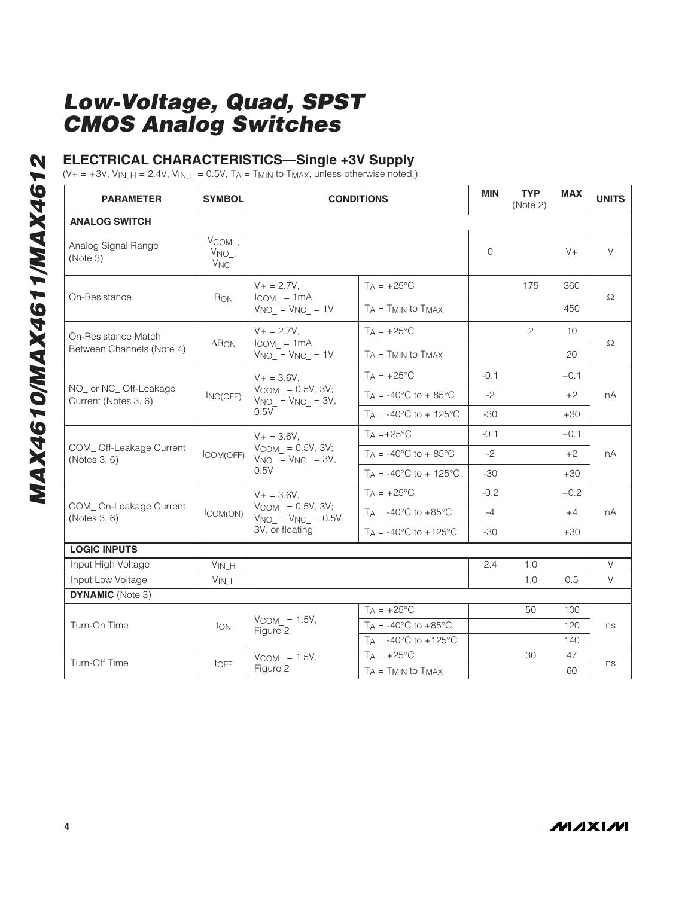### **ELECTRICAL CHARACTERISTICS—Single +3V Supply**

 $(V+ = +3V, V_{IN\_H} = 2.4V, V_{IN\_L} = 0.5V, T_A = T_{MIN}$  to  $T_{MAX}$ , unless otherwise noted.)

| <b>PARAMETER</b>                              | <b>SYMBOL</b>                               | <b>CONDITIONS</b>                                                                       |                                            |          | <b>TYP</b><br>(Note 2) | <b>MAX</b> | <b>UNITS</b> |
|-----------------------------------------------|---------------------------------------------|-----------------------------------------------------------------------------------------|--------------------------------------------|----------|------------------------|------------|--------------|
| <b>ANALOG SWITCH</b>                          |                                             |                                                                                         |                                            |          |                        |            |              |
| Analog Signal Range<br>(Note 3)               | $V_{COM_-,}$<br>$V_{NO_-,}$<br>$V_{NC_{-}}$ |                                                                                         |                                            | $\Omega$ |                        | $V +$      | $\vee$       |
|                                               |                                             | $V + = 2.7V$ ,                                                                          | $T_A = +25^{\circ}C$                       |          | 175                    | 360        |              |
| On-Resistance                                 | RON                                         | $I_{COM} = 1mA$ ,<br>$V_{NO}$ = $V_{NC}$ = 1V                                           | $T_A = T_{MIN}$ to $T_{MAX}$               |          |                        | 450        | $\Omega$     |
| On-Resistance Match                           |                                             | $V + = 2.7V$ ,                                                                          | $TA = +25^{\circ}C$                        |          | 2                      | 10         |              |
| Between Channels (Note 4)                     | $\Delta$ RON                                | $I_{COM} = 1mA$ ,<br>$V_{NO}$ = $V_{NC}$ = 1V                                           | $T_A = T_{MIN}$ to $T_{MAX}$               |          |                        | 20         | Ω            |
|                                               |                                             | $V + = 3.6V,$<br>$V$ COM_ = 0.5V, 3V;<br>$V_{NO} = V_{NC} = 3V$ ,<br>0.5V               | $T_A = +25$ °C                             | $-0.1$   |                        | $+0.1$     |              |
| NO_ or NC_Off-Leakage<br>Current (Notes 3, 6) | $I_{NO(OFF)}$                               |                                                                                         | $T_A = -40$ °C to + 85°C                   | $-2$     |                        | $+2$       | пA           |
|                                               |                                             |                                                                                         | $T_A = -40^{\circ}C$ to + 125°C            | $-30$    |                        | $+30$      |              |
| COM_Off-Leakage Current<br>(Notes 3, 6)       | COM(OFF)                                    | $V_+ = 3.6V$ .<br>$VCOM_ = 0.5V, 3V;$<br>$VNO_$ = $VNC_$ = 3V,<br>0.5V                  | $T_A = +25$ °C                             | $-0.1$   |                        | $+0.1$     | пA           |
|                                               |                                             |                                                                                         | $T_A = -40^{\circ}$ C to + 85 $^{\circ}$ C | $-2$     |                        | $+2$       |              |
|                                               |                                             |                                                                                         | $T_A = -40^{\circ}C$ to + 125°C            | $-30$    |                        | $+30$      |              |
|                                               | ICOM(ON)                                    | $V + = 3.6V$ ,<br>$V_{COM} = 0.5V, 3V;$<br>$V_{NO} = V_{NC} = 0.5V,$<br>3V, or floating | $TA = +25^{\circ}C$                        | $-0.2$   |                        | $+0.2$     | nА           |
| COM_On-Leakage Current<br>(Notes 3, 6)        |                                             |                                                                                         | $T_A = -40^{\circ}$ C to $+85^{\circ}$ C   | $-4$     |                        | $+4$       |              |
|                                               |                                             |                                                                                         | $TA = -40^{\circ}C$ to $+125^{\circ}C$     | -30      |                        | $+30$      |              |
| <b>LOGIC INPUTS</b>                           |                                             |                                                                                         |                                            |          |                        |            |              |
| Input High Voltage                            | $V_{IN\_H}$                                 |                                                                                         |                                            | 2.4      | 1.0                    |            | V            |
| Input Low Voltage                             | $V_{IN\_L}$                                 |                                                                                         |                                            |          | 1.0                    | 0.5        | $\vee$       |
| <b>DYNAMIC</b> (Note 3)                       |                                             |                                                                                         |                                            |          |                        |            |              |
|                                               |                                             |                                                                                         | $T_A = +25^{\circ}C$                       |          | 50                     | 100        | ns           |
| Turn-On Time                                  | ton                                         | $V_{COM} = 1.5V$ ,<br>Figure 2                                                          | $T_A = -40^{\circ}$ C to $+85^{\circ}$ C   |          |                        | 120        |              |
|                                               |                                             |                                                                                         | $TA = -40^{\circ}C$ to $+125^{\circ}C$     |          |                        | 140        |              |
| Turn-Off Time                                 |                                             | $VCOM$ = 1.5V,                                                                          | $T_A = +25^{\circ}C$                       |          | 30                     | 47         | ns           |
|                                               | toFF                                        | Figure 2                                                                                | $T_A = T_{MIN}$ to $T_{MAX}$               |          |                        | 60         |              |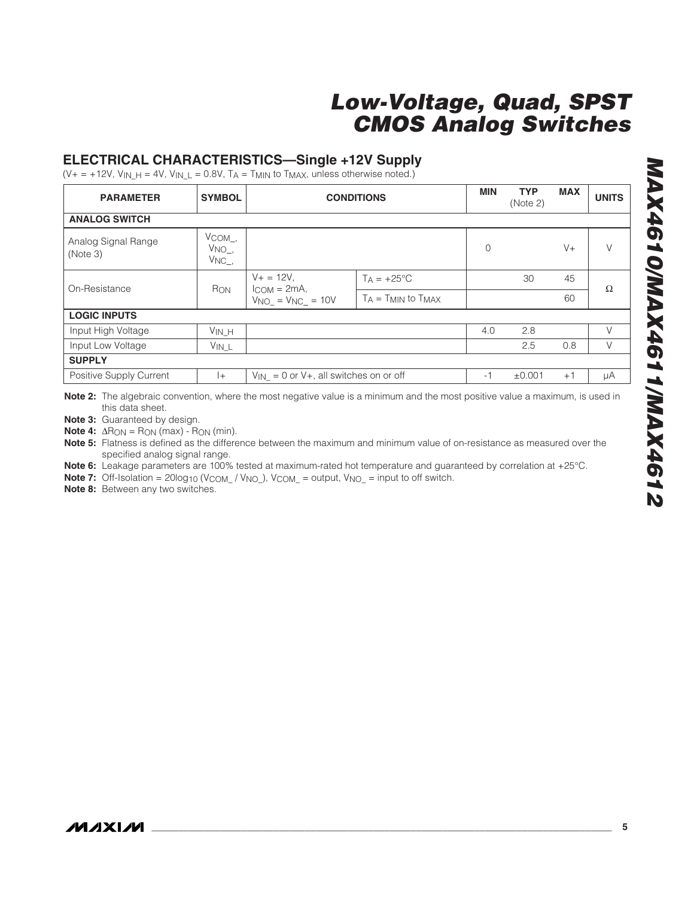### **ELECTRICAL CHARACTERISTICS—Single +12V Supply**

 $(V+ = +12V, V_{IN\_H} = 4V, V_{IN\_L} = 0.8V, T_A = T_{MIN}$  to  $T_{MAX}$ , unless otherwise noted.)

| <b>PARAMETER</b>                | <b>SYMBOL</b>                                  | <b>CONDITIONS</b>                                               |                              |             | <b>TYP</b><br>(Note 2) | <b>MAX</b>       | <b>UNITS</b> |
|---------------------------------|------------------------------------------------|-----------------------------------------------------------------|------------------------------|-------------|------------------------|------------------|--------------|
| <b>ANALOG SWITCH</b>            |                                                |                                                                 |                              |             |                        |                  |              |
| Analog Signal Range<br>(Note 3) | $V_{\rm COM\_}$<br>$V_{NO_-,}$<br>$V_{NC_{-}}$ |                                                                 |                              | $\mathbf 0$ |                        | $V +$            |              |
| On-Resistance                   | R <sub>ON</sub>                                | $V + = 12V$ ,<br>$I_{COM} = 2mA$ ,<br>$V_{NO}$ = $V_{NC}$ = 10V | $T_A = +25$ °C               |             | 30                     | 45               | Ω            |
|                                 |                                                |                                                                 | $T_A = T_{MIN}$ to $T_{MAX}$ |             |                        | 60               |              |
| <b>LOGIC INPUTS</b>             |                                                |                                                                 |                              |             |                        |                  |              |
| Input High Voltage              | $V_{IN_H}$                                     |                                                                 |                              | 4.0         | 2.8                    |                  | $\vee$       |
| Input Low Voltage               | $V_{IN\_L}$                                    |                                                                 |                              |             | 2.5                    | 0.8              | V            |
| <b>SUPPLY</b>                   |                                                |                                                                 |                              |             |                        |                  |              |
| Positive Supply Current         | $+$                                            | $V_{IN} = 0$ or V+, all switches on or off                      |                              | $-1$        | $\pm 0.001$            | $+$ <sup>-</sup> | μA           |

**Note 2:** The algebraic convention, where the most negative value is a minimum and the most positive value a maximum, is used in this data sheet.

**Note 3:** Guaranteed by design.

**Note 4:** ΔR<sub>ON</sub> = R<sub>ON</sub> (max) - R<sub>ON</sub> (min).

**Note 5:** Flatness is defined as the difference between the maximum and minimum value of on-resistance as measured over the specified analog signal range.

**Note 6:** Leakage parameters are 100% tested at maximum-rated hot temperature and guaranteed by correlation at +25°C.

**Note 7:** Off-Isolation = 20log<sub>10</sub> (V<sub>COM</sub> / V<sub>NO</sub>), V<sub>COM</sub> = output, V<sub>NO</sub> = input to off switch.

**Note 8:** Between any two switches.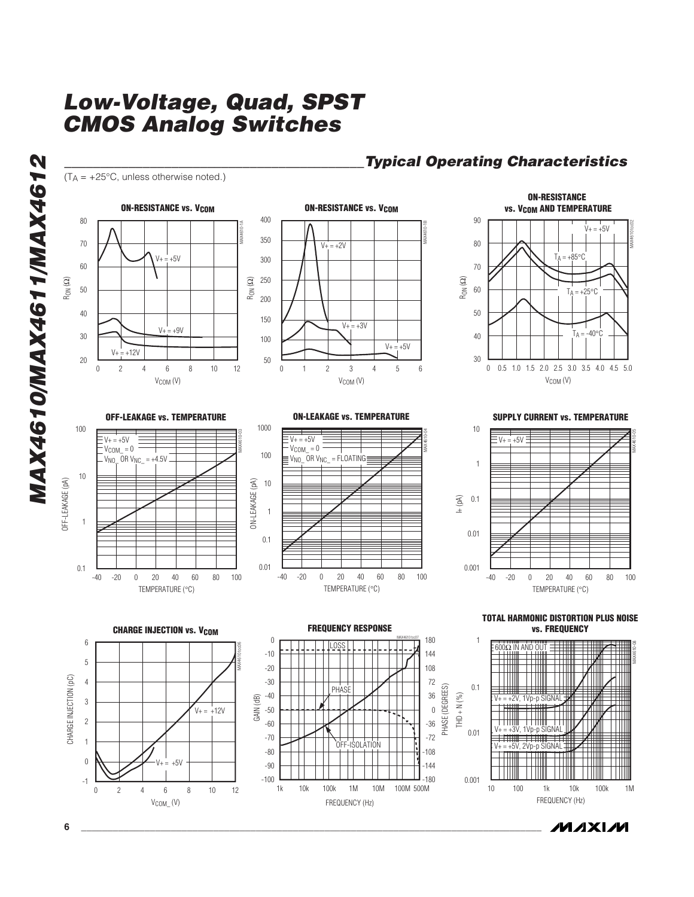**\_\_\_\_\_\_\_\_\_\_\_\_\_\_\_\_\_\_\_\_\_\_\_\_\_\_\_\_\_\_\_\_\_\_\_\_\_\_\_\_\_\_Typical Operating Characteristics**





*/VI/IXI/VI*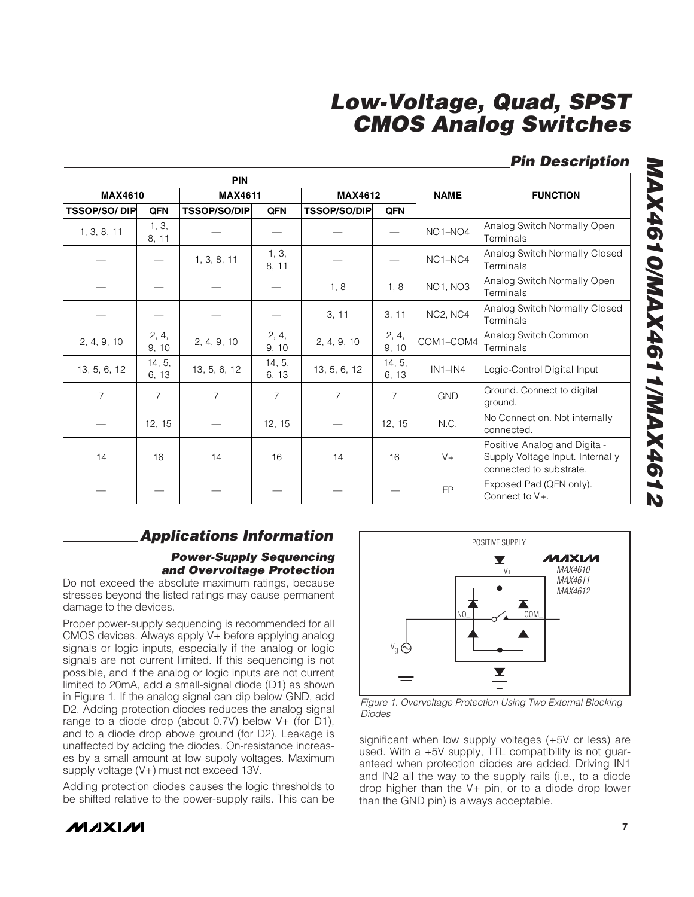### **Pin Description**

| <b>PIN</b>           |                 |                     |                 |                     |                 |                                  |                                                                                             |
|----------------------|-----------------|---------------------|-----------------|---------------------|-----------------|----------------------------------|---------------------------------------------------------------------------------------------|
| <b>MAX4610</b>       |                 | <b>MAX4611</b>      |                 | <b>MAX4612</b>      |                 | <b>NAME</b>                      | <b>FUNCTION</b>                                                                             |
| <b>TSSOP/SO/ DIP</b> | <b>QFN</b>      | <b>TSSOP/SO/DIP</b> | <b>QFN</b>      | <b>TSSOP/SO/DIP</b> | <b>QFN</b>      |                                  |                                                                                             |
| 1, 3, 8, 11          | 1, 3,<br>8, 11  |                     |                 |                     |                 | NO <sub>1</sub> -N <sub>O4</sub> | Analog Switch Normally Open<br>Terminals                                                    |
|                      |                 | 1, 3, 8, 11         | 1, 3,<br>8, 11  |                     |                 | NC1-NC4                          | Analog Switch Normally Closed<br>Terminals                                                  |
|                      |                 |                     |                 | 1, 8                | 1, 8            | NO1, NO3                         | Analog Switch Normally Open<br>Terminals                                                    |
|                      |                 |                     |                 | 3, 11               | 3, 11           | NC2, NC4                         | Analog Switch Normally Closed<br>Terminals                                                  |
| 2, 4, 9, 10          | 2, 4,<br>9, 10  | 2, 4, 9, 10         | 2, 4,<br>9, 10  | 2, 4, 9, 10         | 2, 4,<br>9, 10  | COM1-COM4                        | Analog Switch Common<br>Terminals                                                           |
| 13, 5, 6, 12         | 14, 5,<br>6, 13 | 13, 5, 6, 12        | 14, 5,<br>6, 13 | 13, 5, 6, 12        | 14, 5,<br>6, 13 | $IN1-N4$                         | Logic-Control Digital Input                                                                 |
| $\overline{7}$       | $\overline{7}$  | $\overline{7}$      | $\overline{7}$  | $\overline{7}$      | $\overline{7}$  | <b>GND</b>                       | Ground. Connect to digital<br>around.                                                       |
|                      | 12, 15          |                     | 12, 15          |                     | 12, 15          | N.C.                             | No Connection. Not internally<br>connected.                                                 |
| 14                   | 16              | 14                  | 16              | 14                  | 16              | $V +$                            | Positive Analog and Digital-<br>Supply Voltage Input. Internally<br>connected to substrate. |
|                      |                 |                     |                 |                     |                 | EP                               | Exposed Pad (QFN only).<br>Connect to V+.                                                   |

### **Applications Information**

#### **Power-Supply Sequencing and Overvoltage Protection**

Do not exceed the absolute maximum ratings, because stresses beyond the listed ratings may cause permanent damage to the devices.

Proper power-supply sequencing is recommended for all CMOS devices. Always apply V+ before applying analog signals or logic inputs, especially if the analog or logic signals are not current limited. If this sequencing is not possible, and if the analog or logic inputs are not current limited to 20mA, add a small-signal diode (D1) as shown in Figure 1. If the analog signal can dip below GND, add D2. Adding protection diodes reduces the analog signal range to a diode drop (about 0.7V) below V+ (for D1), and to a diode drop above ground (for D2). Leakage is unaffected by adding the diodes. On-resistance increases by a small amount at low supply voltages. Maximum supply voltage (V+) must not exceed 13V.

Adding protection diodes causes the logic thresholds to be shifted relative to the power-supply rails. This can be



Figure 1. Overvoltage Protection Using Two External Blocking Diodes

significant when low supply voltages (+5V or less) are used. With a +5V supply, TTL compatibility is not guaranteed when protection diodes are added. Driving IN1 and IN2 all the way to the supply rails (i.e., to a diode drop higher than the V+ pin, or to a diode drop lower than the GND pin) is always acceptable.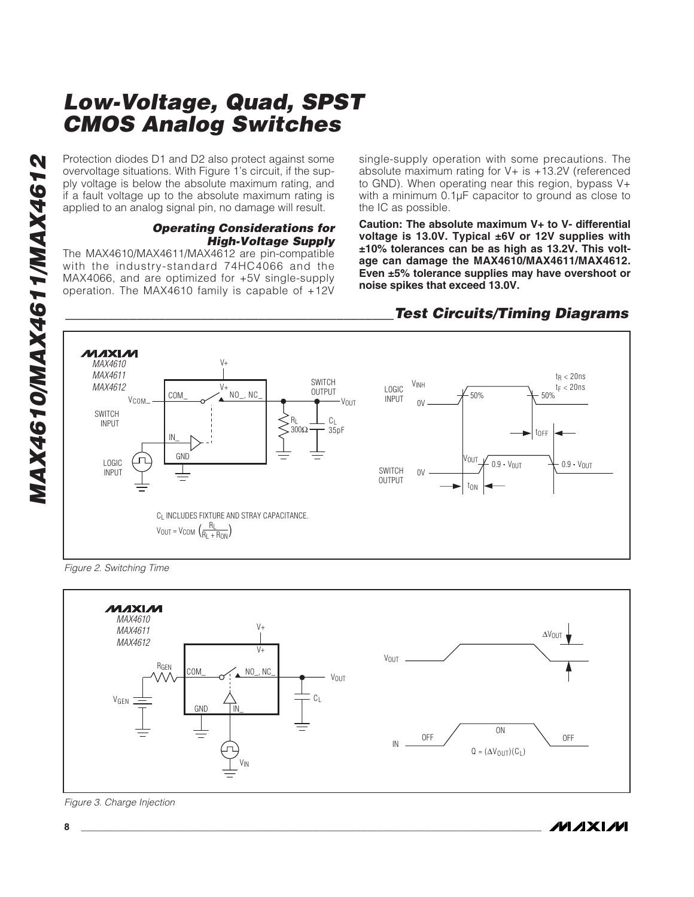Protection diodes D1 and D2 also protect against some overvoltage situations. With Figure 1's circuit, if the supply voltage is below the absolute maximum rating, and if a fault voltage up to the absolute maximum rating is applied to an analog signal pin, no damage will result.

#### **Operating Considerations for High-Voltage Supply**

The MAX4610/MAX4611/MAX4612 are pin-compatible with the industry-standard 74HC4066 and the MAX4066, and are optimized for +5V single-supply operation. The MAX4610 family is capable of +12V single-supply operation with some precautions. The absolute maximum rating for V+ is +13.2V (referenced to GND). When operating near this region, bypass V+ with a minimum 0.1µF capacitor to ground as close to the IC as possible.

**Caution: The absolute maximum V+ to V- differential voltage is 13.0V. Typical ±6V or 12V supplies with ±10% tolerances can be as high as 13.2V. This voltage can damage the MAX4610/MAX4611/MAX4612. Even ±5% tolerance supplies may have overshoot or noise spikes that exceed 13.0V.**



#### **\_\_\_\_\_\_\_\_\_\_\_\_\_\_\_\_\_\_\_\_\_\_\_\_\_\_\_\_\_\_\_\_\_\_\_\_\_\_\_\_\_\_\_\_\_\_Test Circuits/Timing Diagrams**

Figure 2. Switching Time



Figure 3. Charge Injection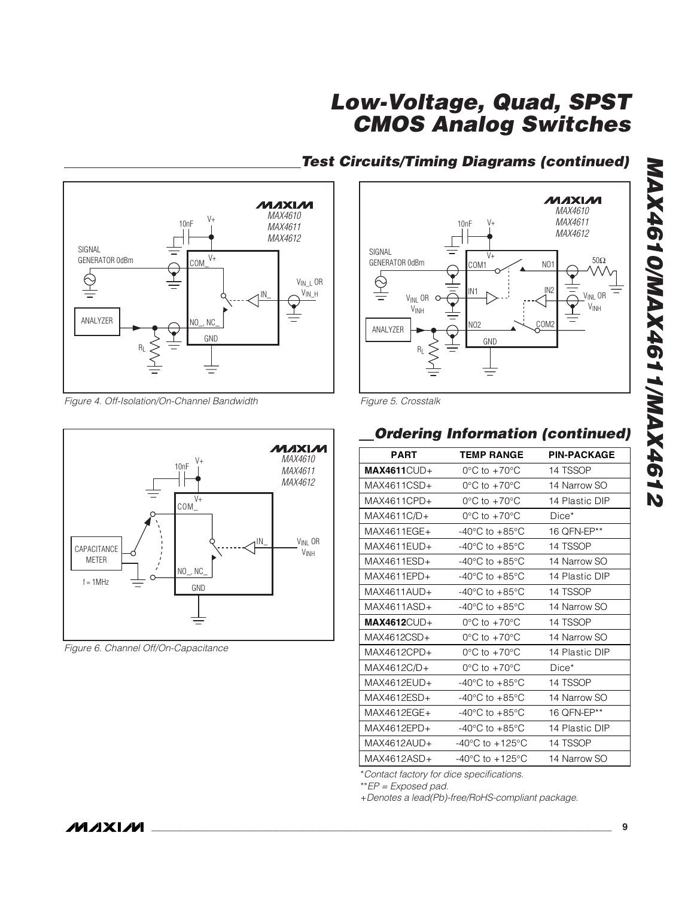**Test Circuits/Timing Diagrams (continued)**



Figure 4. Off-Isolation/On-Channel Bandwidth



Figure 6. Channel Off/On-Capacitance



Figure 5. Crosstalk

### **Ordering Information (continued)**

| <b>PART</b>      | <b>TEMP RANGE</b>                   | <b>PIN-PACKAGE</b> |
|------------------|-------------------------------------|--------------------|
| $MAX4611$ $CUD+$ | $0^{\circ}$ C to $+70^{\circ}$ C    | 14 TSSOP           |
| MAX4611CSD+      | $0^{\circ}$ C to $+70^{\circ}$ C    | 14 Narrow SO       |
| MAX4611CPD+      | $0^{\circ}$ C to $+70^{\circ}$ C    | 14 Plastic DIP     |
| $MAX4611C/D+$    | $0^{\circ}$ C to $+70^{\circ}$ C    | $Dice*$            |
| MAX4611FGF+      | $-40^{\circ}$ C to $+85^{\circ}$ C  | 16 OFN-EP**        |
| $MAX4611FIJD+$   | $-40^{\circ}$ C to $+85^{\circ}$ C  | 14 TSSOP           |
| $MAX4611FSD+$    | $-40^{\circ}$ C to $+85^{\circ}$ C  | 14 Narrow SO       |
| MAX4611EPD+      | $-40^{\circ}$ C to $+85^{\circ}$ C  | 14 Plastic DIP     |
| $MAX4611AUD+$    | $-40^{\circ}$ C to $+85^{\circ}$ C  | 14 TSSOP           |
| $MAX4611ASD+$    | $-40^{\circ}$ C to $+85^{\circ}$ C  | 14 Narrow SO       |
| $MAX4612$ $CUD+$ | $0^{\circ}$ C to $+70^{\circ}$ C    | 14 TSSOP           |
| MAX4612CSD+      | $0^{\circ}$ C to $+70^{\circ}$ C    | 14 Narrow SO       |
| $MAX4612CPD+$    | $0^{\circ}$ C to $+70^{\circ}$ C    | 14 Plastic DIP     |
| MAX4612C/D+      | $0^{\circ}$ C to $+70^{\circ}$ C    | $Dice*$            |
| $MAX4612EUD+$    | $-40^{\circ}$ C to $+85^{\circ}$ C  | 14 TSSOP           |
| $MAX4612FSD+$    | $-40^{\circ}$ C to $+85^{\circ}$ C  | 14 Narrow SO       |
| MAX4612FGF+      | $-40^{\circ}$ C to $+85^{\circ}$ C  | 16 OFN-EP**        |
| MAX4612EPD+      | $-40^{\circ}$ C to $+85^{\circ}$ C  | 14 Plastic DIP     |
| $MAX4612AUD+$    | $-40^{\circ}$ C to $+125^{\circ}$ C | 14 TSSOP           |
| MAX4612ASD+      | $-40^{\circ}$ C to $+125^{\circ}$ C | 14 Narrow SO       |
|                  |                                     |                    |

\*Contact factory for dice specifications.

\*\*EP = Exposed pad.

+Denotes a lead(Pb)-free/RoHS-compliant package.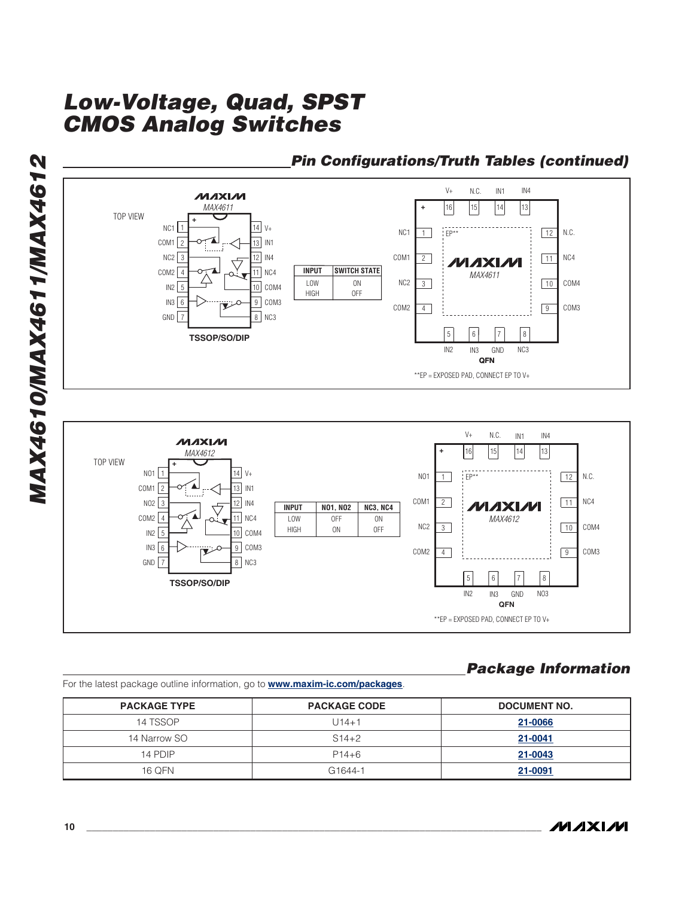

\*\*EP = EXPOSED PAD, CONNECT EP TO V+

### **Package Information**

For the latest package outline information, go to **www.maxim-ic.com/packages** .

| <b>PACKAGE TYPE</b> | <b>PACKAGE CODE</b> | <b>DOCUMENT NO.</b> |
|---------------------|---------------------|---------------------|
| 14 TSSOP            | U14+1               | 21-0066             |
| 14 Narrow SO        | $S14+2$             | 21-0041             |
| 14 PDIP             | $P14+6$             | 21-0043             |
| 16 QFN              | G <sub>1644-1</sub> | 21-0091             |

**MAX4610/MAX4611/MAX4612 MAX4610/MAX4611/MAX4612**

*IVI A* XI*IV*I